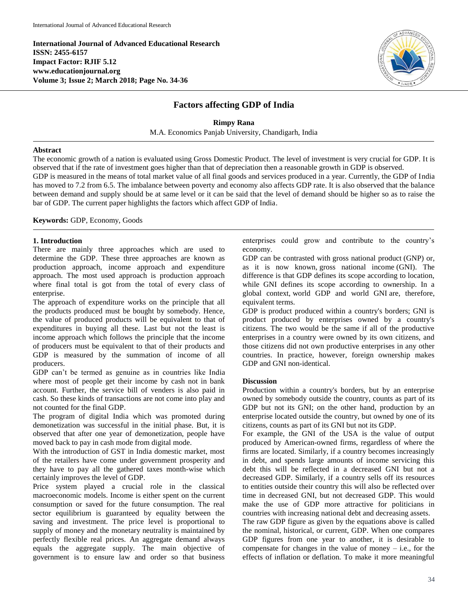**International Journal of Advanced Educational Research ISSN: 2455-6157 Impact Factor: RJIF 5.12 www.educationjournal.org Volume 3; Issue 2; March 2018; Page No. 34-36**



# **Factors affecting GDP of India**

**Rimpy Rana** M.A. Economics Panjab University, Chandigarh, India

#### **Abstract**

The economic growth of a nation is evaluated using Gross Domestic Product. The level of investment is very crucial for GDP. It is observed that if the rate of investment goes higher than that of depreciation then a reasonable growth in GDP is observed.

GDP is measured in the means of total market value of all final goods and services produced in a year. Currently, the GDP of India has moved to 7.2 from 6.5. The imbalance between poverty and economy also affects GDP rate. It is also observed that the balance between demand and supply should be at same level or it can be said that the level of demand should be higher so as to raise the bar of GDP. The current paper highlights the factors which affect GDP of India.

**Keywords:** GDP, Economy, Goods

#### **1. Introduction**

There are mainly three approaches which are used to determine the GDP. These three approaches are known as production approach, income approach and expenditure approach. The most used approach is production approach where final total is got from the total of every class of enterprise.

The approach of expenditure works on the principle that all the products produced must be bought by somebody. Hence, the value of produced products will be equivalent to that of expenditures in buying all these. Last but not the least is income approach which follows the principle that the income of producers must be equivalent to that of their products and GDP is measured by the summation of income of all producers.

GDP can't be termed as genuine as in countries like India where most of people get their income by cash not in bank account. Further, the service bill of venders is also paid in cash. So these kinds of transactions are not come into play and not counted for the final GDP.

The program of digital India which was promoted during demonetization was successful in the initial phase. But, it is observed that after one year of demonetization, people have moved back to pay in cash mode from digital mode.

With the introduction of GST in India domestic market, most of the retailers have come under government prosperity and they have to pay all the gathered taxes month-wise which certainly improves the level of GDP.

Price system played a crucial role in the classical macroeconomic models. Income is either spent on the current consumption or saved for the future consumption. The real sector equilibrium is guaranteed by equality between the saving and investment. The price level is proportional to supply of money and the monetary neutrality is maintained by perfectly flexible real prices. An aggregate demand always equals the aggregate supply. The main objective of government is to ensure law and order so that business

enterprises could grow and contribute to the country's economy.

GDP can be contrasted with gross national product (GNP) or, as it is now known, gross national income (GNI). The difference is that GDP defines its scope according to location, while GNI defines its scope according to ownership. In a global context, world GDP and world GNI are, therefore, equivalent terms.

GDP is product produced within a country's borders; GNI is product produced by enterprises owned by a country's citizens. The two would be the same if all of the productive enterprises in a country were owned by its own citizens, and those citizens did not own productive enterprises in any other countries. In practice, however, foreign ownership makes GDP and GNI non-identical.

#### **Discussion**

Production within a country's borders, but by an enterprise owned by somebody outside the country, counts as part of its GDP but not its GNI; on the other hand, production by an enterprise located outside the country, but owned by one of its citizens, counts as part of its GNI but not its GDP.

For example, the GNI of the USA is the value of output produced by American-owned firms, regardless of where the firms are located. Similarly, if a country becomes increasingly in debt, and spends large amounts of income servicing this debt this will be reflected in a decreased GNI but not a decreased GDP. Similarly, if a country sells off its resources to entities outside their country this will also be reflected over time in decreased GNI, but not decreased GDP. This would make the use of GDP more attractive for politicians in countries with increasing national debt and decreasing assets.

The raw GDP figure as given by the equations above is called the nominal, historical, or current, GDP. When one compares GDP figures from one year to another, it is desirable to compensate for changes in the value of money  $-$  i.e., for the effects of inflation or deflation. To make it more meaningful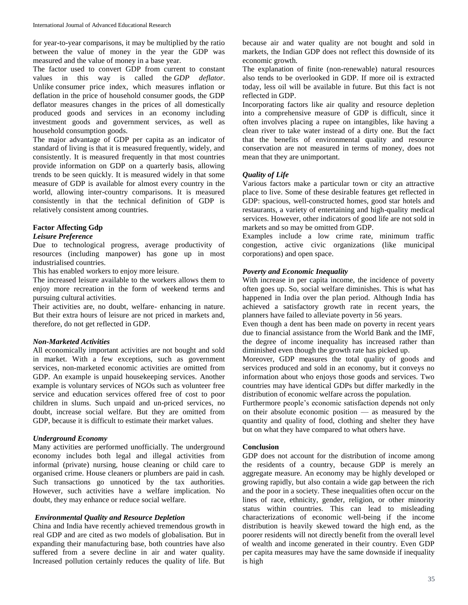for year-to-year comparisons, it may be multiplied by the ratio between the value of money in the year the GDP was measured and the value of money in a base year.

The factor used to convert GDP from current to constant values in this way is called the *GDP deflator*. Unlike consumer price index, which measures inflation or deflation in the price of household consumer goods, the GDP deflator measures changes in the prices of all domestically produced goods and services in an economy including investment goods and government services, as well as household consumption goods.

The major advantage of GDP per capita as an indicator of standard of living is that it is measured frequently, widely, and consistently. It is measured frequently in that most countries provide information on GDP on a quarterly basis, allowing trends to be seen quickly. It is measured widely in that some measure of GDP is available for almost every country in the world, allowing inter-country comparisons. It is measured consistently in that the technical definition of GDP is relatively consistent among countries.

## **Factor Affecting Gdp**

# *Leisure Preference*

Due to technological progress, average productivity of resources (including manpower) has gone up in most industrialised countries.

This has enabled workers to enjoy more leisure.

The increased leisure available to the workers allows them to enjoy more recreation in the form of weekend terms and pursuing cultural activities.

Their activities are, no doubt, welfare- enhancing in nature. But their extra hours of leisure are not priced in markets and, therefore, do not get reflected in GDP.

#### *Non-Marketed Activities*

All economically important activities are not bought and sold in market. With a few exceptions, such as government services, non-marketed economic activities are omitted from GDP. An example is unpaid housekeeping services. Another example is voluntary services of NGOs such as volunteer free service and education services offered free of cost to poor children in slums. Such unpaid and un-priced services, no doubt, increase social welfare. But they are omitted from GDP, because it is difficult to estimate their market values.

#### *Underground Economy*

Many activities are performed unofficially. The underground economy includes both legal and illegal activities from informal (private) nursing, house cleaning or child care to organised crime. House cleaners or plumbers are paid in cash. Such transactions go unnoticed by the tax authorities. However, such activities have a welfare implication. No doubt, they may enhance or reduce social welfare.

#### *Environmental Quality and Resource Depletion*

China and India have recently achieved tremendous growth in real GDP and are cited as two models of globalisation. But in expanding their manufacturing base, both countries have also suffered from a severe decline in air and water quality. Increased pollution certainly reduces the quality of life. But

because air and water quality are not bought and sold in markets, the Indian GDP does not reflect this downside of its economic growth.

The explanation of finite (non-renewable) natural resources also tends to be overlooked in GDP. If more oil is extracted today, less oil will be available in future. But this fact is not reflected in GDP.

Incorporating factors like air quality and resource depletion into a comprehensive measure of GDP is difficult, since it often involves placing a rupee on intangibles, like having a clean river to take water instead of a dirty one. But the fact that the benefits of environmental quality and resource conservation are not measured in terms of money, does not mean that they are unimportant.

#### *Quality of Life*

Various factors make a particular town or city an attractive place to live. Some of these desirable features get reflected in GDP: spacious, well-constructed homes, good star hotels and restaurants, a variety of entertaining and high-quality medical services. However, other indicators of good life are not sold in markets and so may be omitted from GDP.

Examples include a low crime rate, minimum traffic congestion, active civic organizations (like municipal corporations) and open space.

#### *Poverty and Economic Inequality*

With increase in per capita income, the incidence of poverty often goes up. So, social welfare diminishes. This is what has happened in India over the plan period. Although India has achieved a satisfactory growth rate in recent years, the planners have failed to alleviate poverty in 56 years.

Even though a dent has been made on poverty in recent years due to financial assistance from the World Bank and the IMF, the degree of income inequality has increased rather than diminished even though the growth rate has picked up.

Moreover, GDP measures the total quality of goods and services produced and sold in an economy, but it conveys no information about who enjoys those goods and services. Two countries may have identical GDPs but differ markedly in the distribution of economic welfare across the population.

Furthermore people's economic satisfaction depends not only on their absolute economic position — as measured by the quantity and quality of food, clothing and shelter they have but on what they have compared to what others have.

#### **Conclusion**

GDP does not account for the distribution of income among the residents of a country, because GDP is merely an aggregate measure. An economy may be highly developed or growing rapidly, but also contain a wide gap between the rich and the poor in a society. These inequalities often occur on the lines of race, ethnicity, gender, religion, or other minority status within countries. This can lead to misleading characterizations of economic well-being if the income distribution is heavily skewed toward the high end, as the poorer residents will not directly benefit from the overall level of wealth and income generated in their country. Even GDP per capita measures may have the same downside if inequality is high